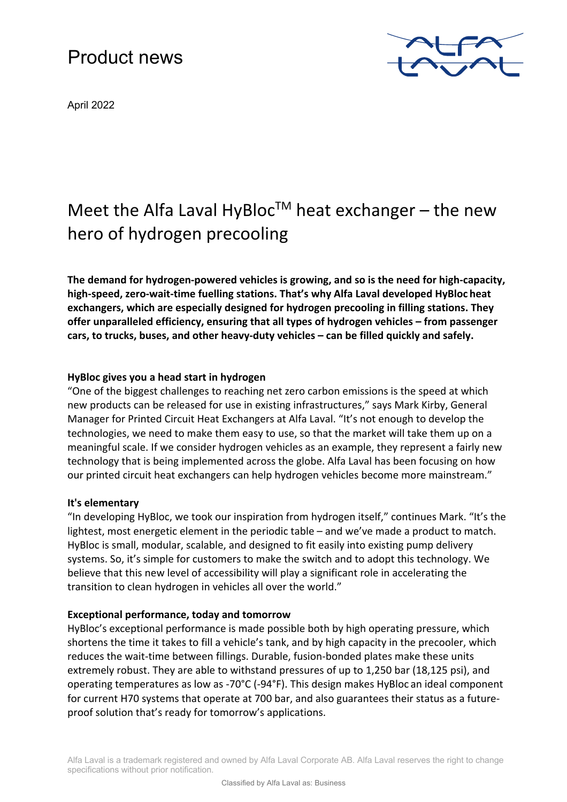# Product news

April 2022



# Meet the Alfa Laval HyBloc<sup>TM</sup> heat exchanger – the new hero of hydrogen precooling

**The demand for hydrogen-powered vehicles is growing, and so is the need for high-capacity, high-speed, zero-wait-time fuelling stations. That's why Alfa Laval developed HyBloc heat exchangers, which are especially designed for hydrogen precooling in filling stations. They offer unparalleled efficiency, ensuring that all types of hydrogen vehicles – from passenger cars, to trucks, buses, and other heavy-duty vehicles – can be filled quickly and safely.**

# **HyBloc gives you a head start in hydrogen**

"One of the biggest challenges to reaching net zero carbon emissions is the speed at which new products can be released for use in existing infrastructures," says Mark Kirby, General Manager for Printed Circuit Heat Exchangers at Alfa Laval. "It's not enough to develop the technologies, we need to make them easy to use, so that the market will take them up on a meaningful scale. If we consider hydrogen vehicles as an example, they represent a fairly new technology that is being implemented across the globe. Alfa Laval has been focusing on how our printed circuit heat exchangers can help hydrogen vehicles become more mainstream."

## **It's elementary**

"In developing HyBloc, we took our inspiration from hydrogen itself," continues Mark. "It's the lightest, most energetic element in the periodic table – and we've made a product to match. HyBloc is small, modular, scalable, and designed to fit easily into existing pump delivery systems. So, it's simple for customers to make the switch and to adopt this technology. We believe that this new level of accessibility will play a significant role in accelerating the transition to clean hydrogen in vehicles all over the world."

## **Exceptional performance, today and tomorrow**

HyBloc's exceptional performance is made possible both by high operating pressure, which shortens the time it takes to fill a vehicle's tank, and by high capacity in the precooler, which reduces the wait-time between fillings. Durable, fusion-bonded plates make these units extremely robust. They are able to withstand pressures of up to 1,250 bar (18,125 psi), and operating temperatures as low as -70°C (-94°F). This design makes HyBloc an ideal component for current H70 systems that operate at 700 bar, and also guarantees their status as a futureproof solution that's ready for tomorrow's applications.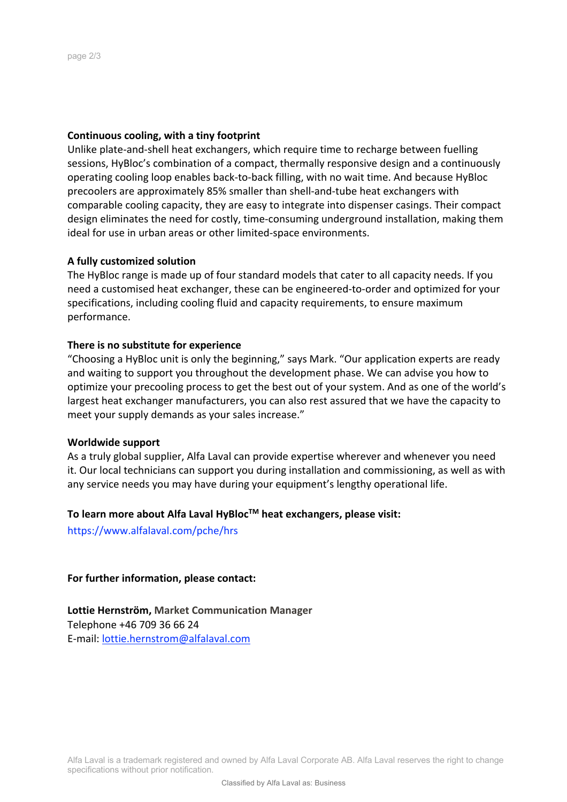#### **Continuous cooling, with a tiny footprint**

Unlike plate-and-shell heat exchangers, which require time to recharge between fuelling sessions, HyBloc's combination of a compact, thermally responsive design and a continuously operating cooling loop enables back-to-back filling, with no wait time. And because HyBloc precoolers are approximately 85% smaller than shell-and-tube heat exchangers with comparable cooling capacity, they are easy to integrate into dispenser casings. Their compact design eliminates the need for costly, time-consuming underground installation, making them ideal for use in urban areas or other limited-space environments.

#### **A fully customized solution**

The HyBloc range is made up of four standard models that cater to all capacity needs. If you need a customised heat exchanger, these can be engineered-to-order and optimized for your specifications, including cooling fluid and capacity requirements, to ensure maximum performance.

#### **There is no substitute for experience**

"Choosing a HyBloc unit is only the beginning," says Mark. "Our application experts are ready and waiting to support you throughout the development phase. We can advise you how to optimize your precooling process to get the best out of your system. And as one of the world's largest heat exchanger manufacturers, you can also rest assured that we have the capacity to meet your supply demands as your sales increase."

#### **Worldwide support**

As a truly global supplier, Alfa Laval can provide expertise wherever and whenever you need it. Our local technicians can support you during installation and commissioning, as well as with any service needs you may have during your equipment's lengthy operational life.

# **To learn more about Alfa Laval HyBlocTM heat exchangers, please visit:**

https://www.alfalaval.com/pche/hrs

**For further information, please contact:**

**Lottie Hernström, Market Communication Manager** Telephone +46 709 36 66 24 E-mail: lottie.hernstrom@alfalaval.com